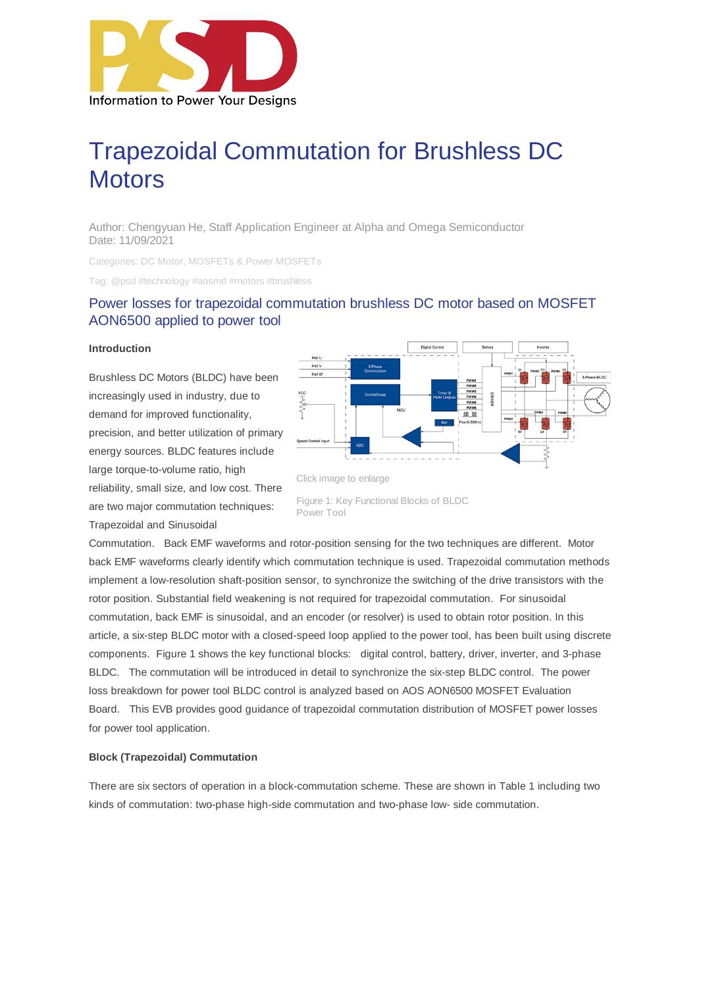

# Trapezoidal Commutation for Brushless DC **Motors**

Author: Chengyuan He, Staff Application Engineer at Alpha and Omega Semiconductor Date: 11/09/2021

Categories: DC Motor, MOSFETs & Power MOSFETs

Tag: @psd #technology #aosmd #motors #brushless

# Power losses for trapezoidal commutation brushless DC motor based on MOSFET AON6500 applied to power tool

#### **Introduction**

Brushless DC Motors (BLDC) have been increasingly used in industry, due to demand for improved functionality, precision, and better utilization of primary energy sources. BLDC features include large torque-to-volume ratio, high reliability, small size, and low cost. There are two major commutation techniques: Trapezoidal and Sinusoidal



Figure 1: Key Functional Blocks of BLDC Power Tool

Commutation. Back EMF waveforms and rotor-position sensing for the two techniques are different. Motor back EMF waveforms clearly identify which commutation technique is used. Trapezoidal commutation methods implement a low-resolution shaft-position sensor, to synchronize the switching of the drive transistors with the rotor position. Substantial field weakening is not required for trapezoidal commutation. For sinusoidal commutation, back EMF is sinusoidal, and an encoder (or resolver) is used to obtain rotor position. In this article, a six-step BLDC motor with a closed-speed loop applied to the power tool, has been built using discrete components. Figure 1 shows the key functional blocks: digital control, battery, driver, inverter, and 3-phase BLDC. The commutation will be introduced in detail to synchronize the six-step BLDC control. The power loss breakdown for power tool BLDC control is analyzed based on AOS AON6500 MOSFET Evaluation Board. This EVB provides good guidance of trapezoidal commutation distribution of MOSFET power losses for power tool application.

#### **Block (Trapezoidal) Commutation**

There are six sectors of operation in a block-commutation scheme. These are shown in Table 1 including two kinds of commutation: two-phase high-side commutation and two-phase low- side commutation.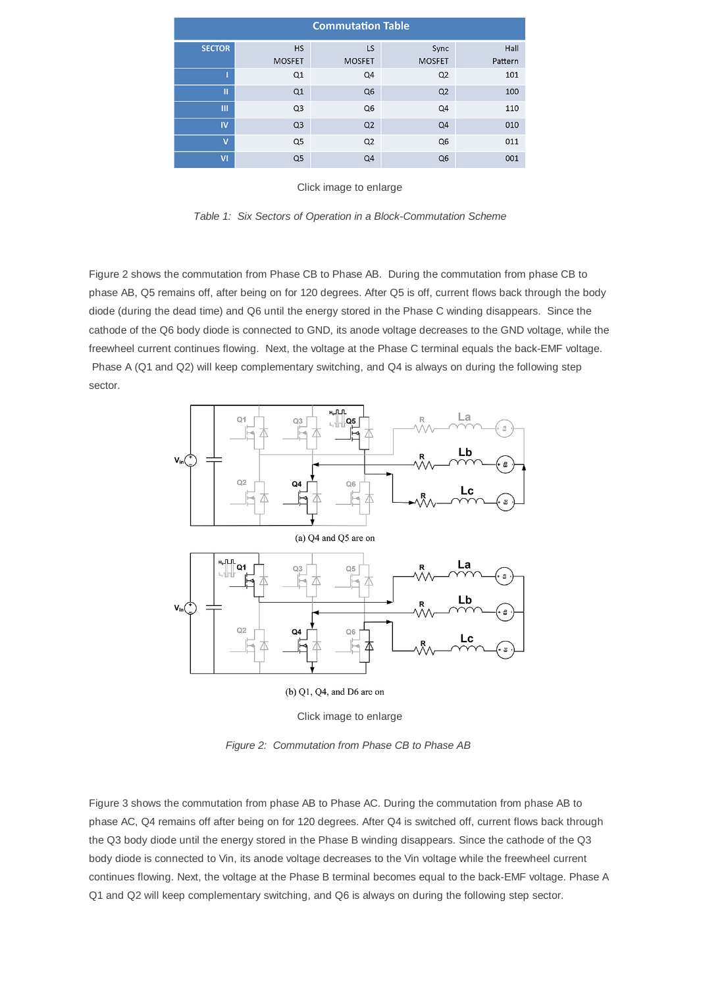| <b>Commutation Table</b> |                |                |                |         |
|--------------------------|----------------|----------------|----------------|---------|
| <b>SECTOR</b>            | <b>HS</b>      | LS             | Sync           | Hall    |
|                          | <b>MOSFET</b>  | <b>MOSFET</b>  | <b>MOSFET</b>  | Pattern |
|                          | Q1             | Q4             | Q2             | 101     |
| П                        | Q1             | Q <sub>6</sub> | Q2             | 100     |
| Ш                        | Q <sub>3</sub> | Q <sub>6</sub> | Q4             | 110     |
| <b>IV</b>                | Q <sub>3</sub> | Q <sub>2</sub> | Q <sub>4</sub> | 010     |
| $\overline{\mathbf{v}}$  | Q <sub>5</sub> | Q2             | Q <sub>6</sub> | 011     |
| $\overline{\mathsf{M}}$  | Q <sub>5</sub> | Q <sub>4</sub> | Q <sub>6</sub> | 001     |

Click image to enlarge

*Table 1: Six Sectors of Operation in a Block-Commutation Scheme*

Figure 2 shows the commutation from Phase CB to Phase AB. During the commutation from phase CB to phase AB, Q5 remains off, after being on for 120 degrees. After Q5 is off, current flows back through the body diode (during the dead time) and Q6 until the energy stored in the Phase C winding disappears. Since the cathode of the Q6 body diode is connected to GND, its anode voltage decreases to the GND voltage, while the freewheel current continues flowing. Next, the voltage at the Phase C terminal equals the back-EMF voltage. Phase A (Q1 and Q2) will keep complementary switching, and Q4 is always on during the following step sector.



Click image to enlarge

*Figure 2: Commutation from Phase CB to Phase AB* 

Figure 3 shows the commutation from phase AB to Phase AC. During the commutation from phase AB to phase AC, Q4 remains off after being on for 120 degrees. After Q4 is switched off, current flows back through the Q3 body diode until the energy stored in the Phase B winding disappears. Since the cathode of the Q3 body diode is connected to Vin, its anode voltage decreases to the Vin voltage while the freewheel current continues flowing. Next, the voltage at the Phase B terminal becomes equal to the back-EMF voltage. Phase A Q1 and Q2 will keep complementary switching, and Q6 is always on during the following step sector.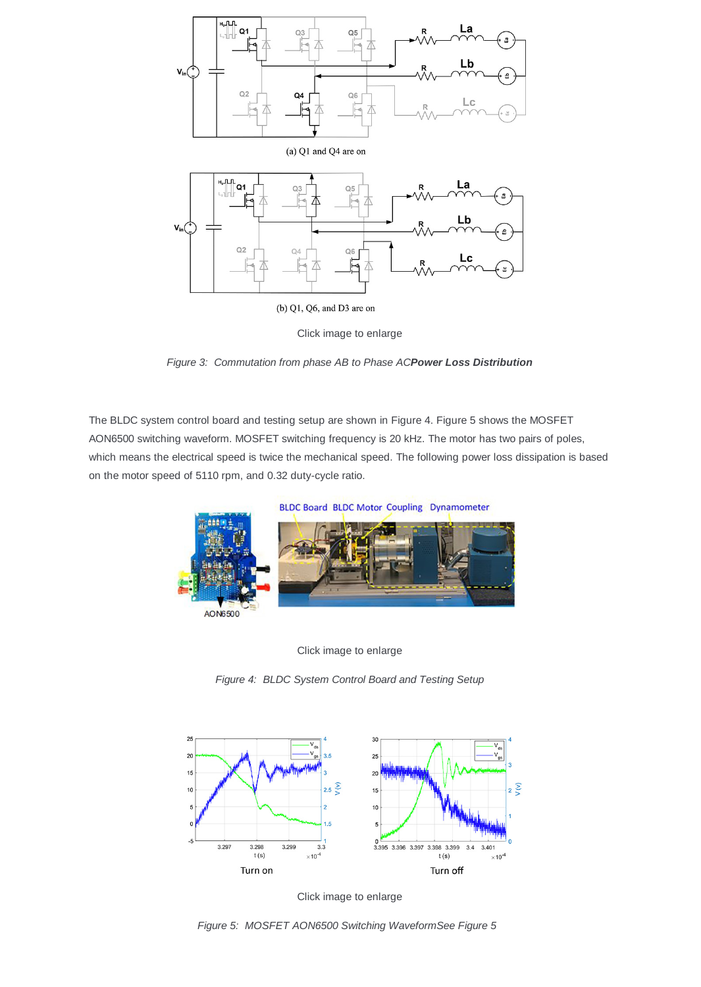

Click image to enlarge



The BLDC system control board and testing setup are shown in Figure 4. Figure 5 shows the MOSFET AON6500 switching waveform. MOSFET switching frequency is 20 kHz. The motor has two pairs of poles, which means the electrical speed is twice the mechanical speed. The following power loss dissipation is based on the motor speed of 5110 rpm, and 0.32 duty-cycle ratio.





*Figure 4: BLDC System Control Board and Testing Setup*



Click image to enlarge

*Figure 5: MOSFET AON6500 Switching WaveformSee Figure 5*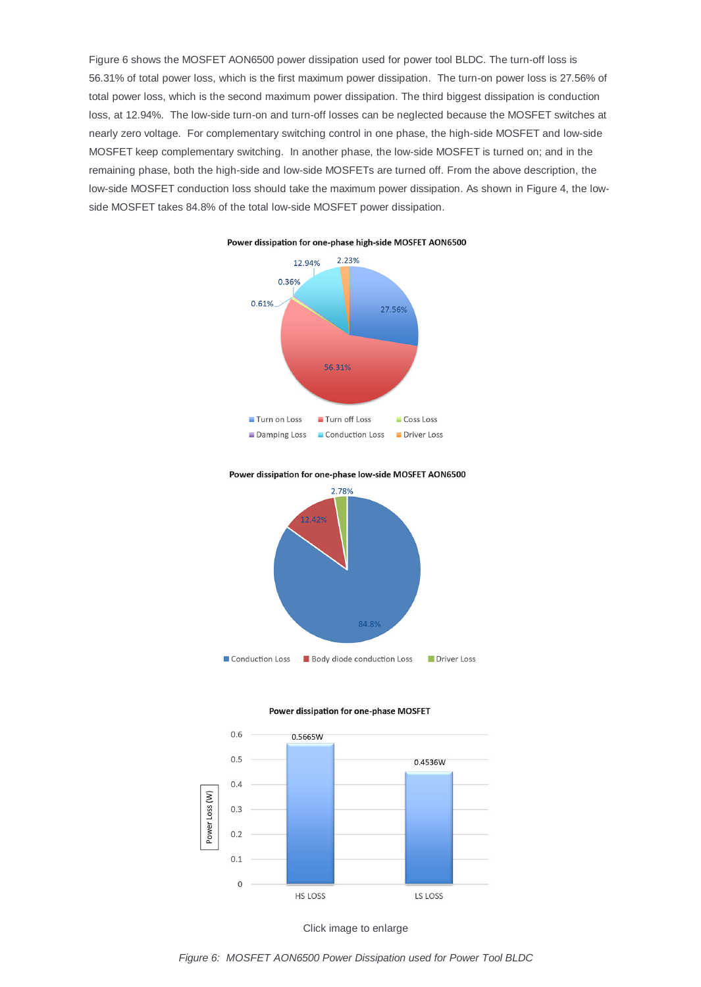Figure 6 shows the MOSFET AON6500 power dissipation used for power tool BLDC. The turn-off loss is 56.31% of total power loss, which is the first maximum power dissipation. The turn-on power loss is 27.56% of total power loss, which is the second maximum power dissipation. The third biggest dissipation is conduction loss, at 12.94%. The low-side turn-on and turn-off losses can be neglected because the MOSFET switches at nearly zero voltage. For complementary switching control in one phase, the high-side MOSFET and low-side MOSFET keep complementary switching. In another phase, the low-side MOSFET is turned on; and in the remaining phase, both the high-side and low-side MOSFETs are turned off. From the above description, the low-side MOSFET conduction loss should take the maximum power dissipation. As shown in Figure 4, the lowside MOSFET takes 84.8% of the total low-side MOSFET power dissipation.



Power dissipation for one-phase high-side MOSFET AON6500











*Figure 6: MOSFET AON6500 Power Dissipation used for Power Tool BLDC*